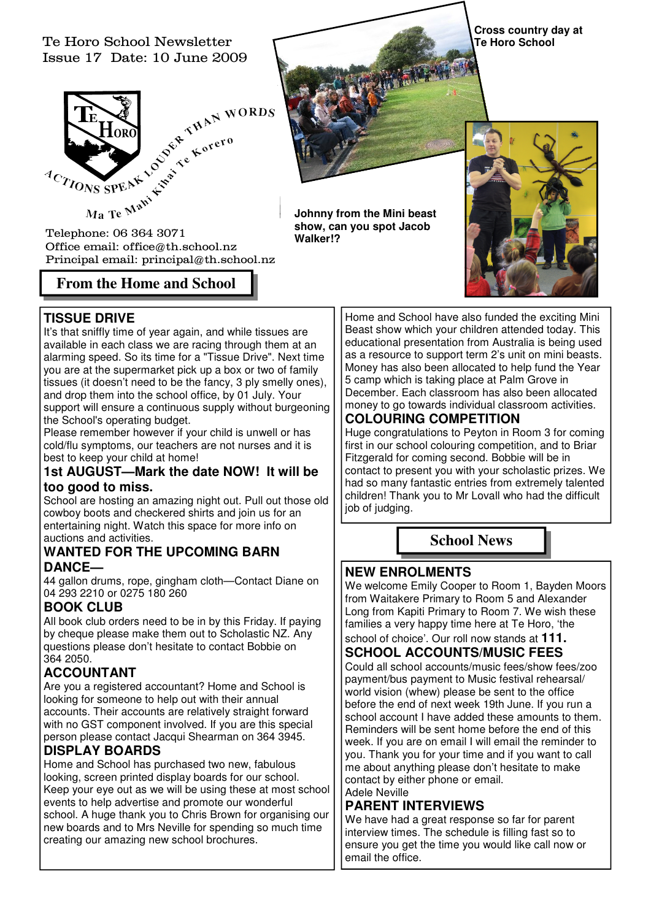Te Horo School Newsletter Issue 17 Date: 10 June 2009



Office email: office@th.school.nz Principal email: principal@th.school.nz

### **From the Home and School**

**Johnny from the Mini beast show, can you spot Jacob Walker!?** 



**TISSUE DRIVE**

It's that sniffly time of year again, and while tissues are available in each class we are racing through them at an alarming speed. So its time for a "Tissue Drive". Next time you are at the supermarket pick up a box or two of family tissues (it doesn't need to be the fancy, 3 ply smelly ones), and drop them into the school office, by 01 July. Your support will ensure a continuous supply without burgeoning the School's operating budget.

Please remember however if your child is unwell or has cold/flu symptoms, our teachers are not nurses and it is best to keep your child at home!

#### **1st AUGUST—Mark the date NOW! It will be too good to miss.**

School are hosting an amazing night out. Pull out those old cowboy boots and checkered shirts and join us for an entertaining night. Watch this space for more info on auctions and activities.

#### **WANTED FOR THE UPCOMING BARN DANCE—**

44 gallon drums, rope, gingham cloth—Contact Diane on 04 293 2210 or 0275 180 260

### **BOOK CLUB**

All book club orders need to be in by this Friday. If paying by cheque please make them out to Scholastic NZ. Any questions please don't hesitate to contact Bobbie on 364 2050.

### **ACCOUNTANT**

Are you a registered accountant? Home and School is looking for someone to help out with their annual accounts. Their accounts are relatively straight forward with no GST component involved. If you are this special person please contact Jacqui Shearman on 364 3945.

### **DISPLAY BOARDS**

Home and School has purchased two new, fabulous looking, screen printed display boards for our school. Keep your eye out as we will be using these at most school events to help advertise and promote our wonderful school. A huge thank you to Chris Brown for organising our new boards and to Mrs Neville for spending so much time creating our amazing new school brochures.

Home and School have also funded the exciting Mini Beast show which your children attended today. This educational presentation from Australia is being used as a resource to support term 2's unit on mini beasts. Money has also been allocated to help fund the Year 5 camp which is taking place at Palm Grove in December. Each classroom has also been allocated money to go towards individual classroom activities.

#### **COLOURING COMPETITION**

Huge congratulations to Peyton in Room 3 for coming first in our school colouring competition, and to Briar Fitzgerald for coming second. Bobbie will be in contact to present you with your scholastic prizes. We had so many fantastic entries from extremely talented children! Thank you to Mr Lovall who had the difficult job of judging.

**School News** 

### **NEW ENROLMENTS**

We welcome Emily Cooper to Room 1, Bayden Moors from Waitakere Primary to Room 5 and Alexander Long from Kapiti Primary to Room 7. We wish these families a very happy time here at Te Horo, 'the school of choice'. Our roll now stands at **111.** 

# **SCHOOL ACCOUNTS/MUSIC FEES**

Could all school accounts/music fees/show fees/zoo payment/bus payment to Music festival rehearsal/ world vision (whew) please be sent to the office before the end of next week 19th June. If you run a school account I have added these amounts to them. Reminders will be sent home before the end of this week. If you are on email I will email the reminder to you. Thank you for your time and if you want to call me about anything please don't hesitate to make contact by either phone or email. Adele Neville

# **PARENT INTERVIEWS**

We have had a great response so far for parent interview times. The schedule is filling fast so to ensure you get the time you would like call now or email the office.

**Cross country day at Te Horo School**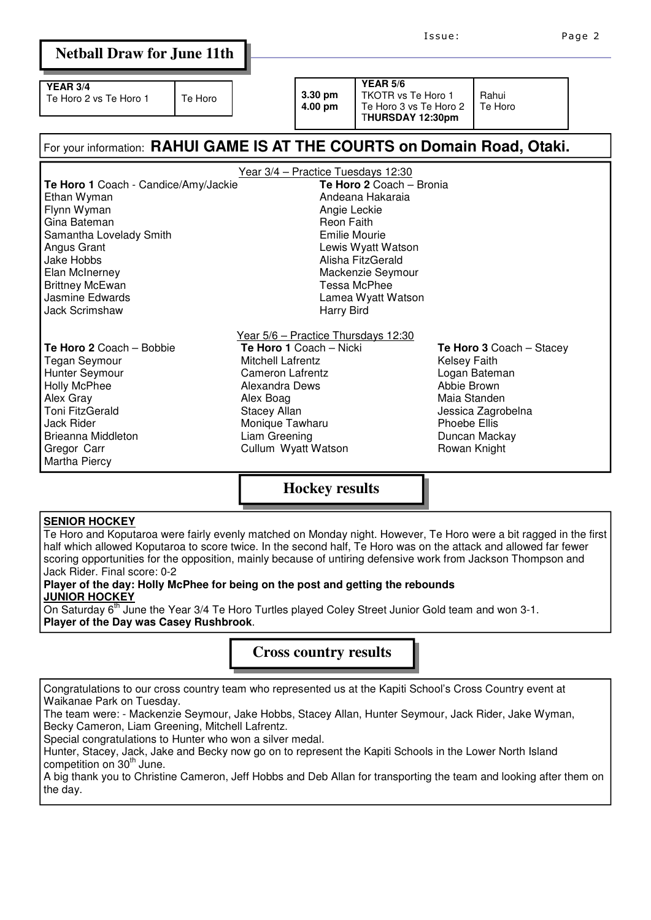| <b>Netball Draw for June 11th</b><br><b>YEAR 5/6</b><br><b>YEAR 3/4</b><br>3.30 pm<br>TKOTR vs Te Horo 1<br>Rahui<br>Te Horo 2 vs Te Horo 1<br>Te Horo<br>Te Horo<br>4.00 pm<br>Te Horo 3 vs Te Horo 2<br>THURSDAY 12:30pm<br>For your information: RAHUI GAME IS AT THE COURTS on Domain Road, Otaki.<br>Year 3/4 - Practice Tuesdays 12:30<br>Te Horo 2 Coach - Bronia<br>Te Horo 1 Coach - Candice/Amy/Jackie<br>Andeana Hakaraia<br>Ethan Wyman<br>Flynn Wyman<br>Angie Leckie<br>Gina Bateman<br><b>Reon Faith</b><br><b>Emilie Mourie</b><br>Samantha Lovelady Smith<br>Angus Grant<br>Lewis Wyatt Watson<br>Jake Hobbs<br>Alisha FitzGerald<br>Elan McInerney<br>Mackenzie Seymour<br><b>Brittney McEwan</b><br><b>Tessa McPhee</b><br>Jasmine Edwards<br>Lamea Wyatt Watson<br><b>Jack Scrimshaw</b><br>Harry Bird |  |  |
|----------------------------------------------------------------------------------------------------------------------------------------------------------------------------------------------------------------------------------------------------------------------------------------------------------------------------------------------------------------------------------------------------------------------------------------------------------------------------------------------------------------------------------------------------------------------------------------------------------------------------------------------------------------------------------------------------------------------------------------------------------------------------------------------------------------------------|--|--|
|                                                                                                                                                                                                                                                                                                                                                                                                                                                                                                                                                                                                                                                                                                                                                                                                                            |  |  |
|                                                                                                                                                                                                                                                                                                                                                                                                                                                                                                                                                                                                                                                                                                                                                                                                                            |  |  |
|                                                                                                                                                                                                                                                                                                                                                                                                                                                                                                                                                                                                                                                                                                                                                                                                                            |  |  |
|                                                                                                                                                                                                                                                                                                                                                                                                                                                                                                                                                                                                                                                                                                                                                                                                                            |  |  |
|                                                                                                                                                                                                                                                                                                                                                                                                                                                                                                                                                                                                                                                                                                                                                                                                                            |  |  |
|                                                                                                                                                                                                                                                                                                                                                                                                                                                                                                                                                                                                                                                                                                                                                                                                                            |  |  |
|                                                                                                                                                                                                                                                                                                                                                                                                                                                                                                                                                                                                                                                                                                                                                                                                                            |  |  |
|                                                                                                                                                                                                                                                                                                                                                                                                                                                                                                                                                                                                                                                                                                                                                                                                                            |  |  |
|                                                                                                                                                                                                                                                                                                                                                                                                                                                                                                                                                                                                                                                                                                                                                                                                                            |  |  |
|                                                                                                                                                                                                                                                                                                                                                                                                                                                                                                                                                                                                                                                                                                                                                                                                                            |  |  |
|                                                                                                                                                                                                                                                                                                                                                                                                                                                                                                                                                                                                                                                                                                                                                                                                                            |  |  |
|                                                                                                                                                                                                                                                                                                                                                                                                                                                                                                                                                                                                                                                                                                                                                                                                                            |  |  |
|                                                                                                                                                                                                                                                                                                                                                                                                                                                                                                                                                                                                                                                                                                                                                                                                                            |  |  |
|                                                                                                                                                                                                                                                                                                                                                                                                                                                                                                                                                                                                                                                                                                                                                                                                                            |  |  |
|                                                                                                                                                                                                                                                                                                                                                                                                                                                                                                                                                                                                                                                                                                                                                                                                                            |  |  |
|                                                                                                                                                                                                                                                                                                                                                                                                                                                                                                                                                                                                                                                                                                                                                                                                                            |  |  |
|                                                                                                                                                                                                                                                                                                                                                                                                                                                                                                                                                                                                                                                                                                                                                                                                                            |  |  |
|                                                                                                                                                                                                                                                                                                                                                                                                                                                                                                                                                                                                                                                                                                                                                                                                                            |  |  |
|                                                                                                                                                                                                                                                                                                                                                                                                                                                                                                                                                                                                                                                                                                                                                                                                                            |  |  |
| Year 5/6 - Practice Thursdays 12:30                                                                                                                                                                                                                                                                                                                                                                                                                                                                                                                                                                                                                                                                                                                                                                                        |  |  |
| Te Horo 1 Coach - Nicki<br>Te Horo 2 Coach - Bobbie<br>Te Horo 3 Coach - Stacey                                                                                                                                                                                                                                                                                                                                                                                                                                                                                                                                                                                                                                                                                                                                            |  |  |
| Mitchell Lafrentz<br><b>Tegan Seymour</b><br>Kelsey Faith                                                                                                                                                                                                                                                                                                                                                                                                                                                                                                                                                                                                                                                                                                                                                                  |  |  |
| Hunter Seymour<br><b>Cameron Lafrentz</b><br>Logan Bateman                                                                                                                                                                                                                                                                                                                                                                                                                                                                                                                                                                                                                                                                                                                                                                 |  |  |
| Abbie Brown<br><b>Holly McPhee</b><br>Alexandra Dews                                                                                                                                                                                                                                                                                                                                                                                                                                                                                                                                                                                                                                                                                                                                                                       |  |  |
| Alex Gray<br>Maia Standen<br>Alex Boag                                                                                                                                                                                                                                                                                                                                                                                                                                                                                                                                                                                                                                                                                                                                                                                     |  |  |
| <b>Toni FitzGerald</b><br><b>Stacey Allan</b><br>Jessica Zagrobelna                                                                                                                                                                                                                                                                                                                                                                                                                                                                                                                                                                                                                                                                                                                                                        |  |  |
| <b>Jack Rider</b><br>Monique Tawharu<br><b>Phoebe Ellis</b>                                                                                                                                                                                                                                                                                                                                                                                                                                                                                                                                                                                                                                                                                                                                                                |  |  |
| Liam Greening<br>Brieanna Middleton<br>Duncan Mackay                                                                                                                                                                                                                                                                                                                                                                                                                                                                                                                                                                                                                                                                                                                                                                       |  |  |
| Cullum Wyatt Watson<br>Gregor Carr<br>Rowan Knight<br>Martha Piercy                                                                                                                                                                                                                                                                                                                                                                                                                                                                                                                                                                                                                                                                                                                                                        |  |  |
|                                                                                                                                                                                                                                                                                                                                                                                                                                                                                                                                                                                                                                                                                                                                                                                                                            |  |  |
| <b>Hockey results</b>                                                                                                                                                                                                                                                                                                                                                                                                                                                                                                                                                                                                                                                                                                                                                                                                      |  |  |
|                                                                                                                                                                                                                                                                                                                                                                                                                                                                                                                                                                                                                                                                                                                                                                                                                            |  |  |
| <b>SENIOR HOCKEY</b>                                                                                                                                                                                                                                                                                                                                                                                                                                                                                                                                                                                                                                                                                                                                                                                                       |  |  |
| Te Horo and Koputaroa were fairly evenly matched on Monday night. However, Te Horo were a bit ragged in the first                                                                                                                                                                                                                                                                                                                                                                                                                                                                                                                                                                                                                                                                                                          |  |  |
| half which allowed Koputaroa to score twice. In the second half, Te Horo was on the attack and allowed far fewer                                                                                                                                                                                                                                                                                                                                                                                                                                                                                                                                                                                                                                                                                                           |  |  |
| scoring opportunities for the opposition, mainly because of untiring defensive work from Jackson Thompson and                                                                                                                                                                                                                                                                                                                                                                                                                                                                                                                                                                                                                                                                                                              |  |  |
| Jack Rider. Final score: 0-2                                                                                                                                                                                                                                                                                                                                                                                                                                                                                                                                                                                                                                                                                                                                                                                               |  |  |
| Player of the day: Holly McPhee for being on the post and getting the rebounds                                                                                                                                                                                                                                                                                                                                                                                                                                                                                                                                                                                                                                                                                                                                             |  |  |
| <b>JUNIOR HOCKEY</b>                                                                                                                                                                                                                                                                                                                                                                                                                                                                                                                                                                                                                                                                                                                                                                                                       |  |  |
| On Saturday 6 <sup>th</sup> June the Year 3/4 Te Horo Turtles played Coley Street Junior Gold team and won 3-1.<br>Player of the Day was Casey Rushbrook.                                                                                                                                                                                                                                                                                                                                                                                                                                                                                                                                                                                                                                                                  |  |  |
|                                                                                                                                                                                                                                                                                                                                                                                                                                                                                                                                                                                                                                                                                                                                                                                                                            |  |  |
| <b>Cross country results</b>                                                                                                                                                                                                                                                                                                                                                                                                                                                                                                                                                                                                                                                                                                                                                                                               |  |  |

Congratulations to our cross country team who represented us at the Kapiti School's Cross Country event at Waikanae Park on Tuesday.

The team were: - Mackenzie Seymour, Jake Hobbs, Stacey Allan, Hunter Seymour, Jack Rider, Jake Wyman, Becky Cameron, Liam Greening, Mitchell Lafrentz.

Special congratulations to Hunter who won a silver medal.

Hunter, Stacey, Jack, Jake and Becky now go on to represent the Kapiti Schools in the Lower North Island competition on 30<sup>th</sup> June.

A big thank you to Christine Cameron, Jeff Hobbs and Deb Allan for transporting the team and looking after them on the day.